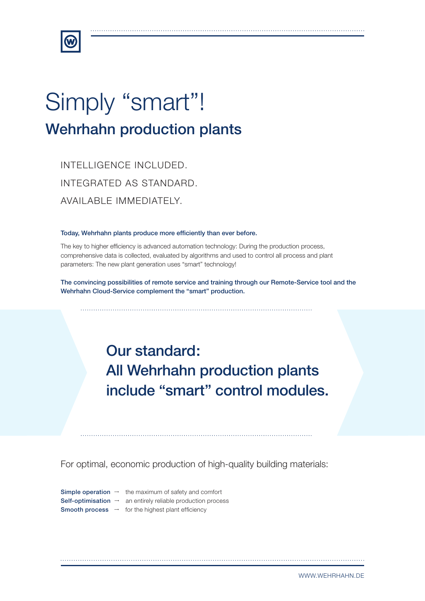

# Simply "smart"! Wehrhahn production plants

INTELLIGENCE INCLUDED. INTEGRATED AS STANDARD. AVAILABLE IMMEDIATELY.

#### Today, Wehrhahn plants produce more efficiently than ever before.

The key to higher efficiency is advanced automation technology: During the production process, comprehensive data is collected, evaluated by algorithms and used to control all process and plant parameters: The new plant generation uses "smart" technology!

The convincing possibilities of remote service and training through our Remote-Service tool and the Wehrhahn Cloud-Service complement the "smart" production.

## Our standard: All Wehrhahn production plants include "smart" control modules.

For optimal, economic production of high-quality building materials:

**Simple operation**  $\rightarrow$  the maximum of safety and comfort **Self-optimisation**  $\rightarrow$  an entirely reliable production process **Smooth process**  $\rightarrow$  for the highest plant efficiency